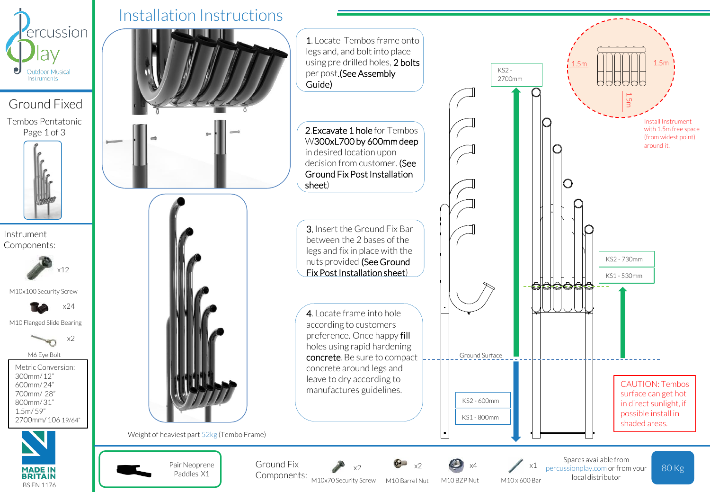

Ground Fixed

Tembos Pentatonic Page 1 of 3



Instrument Components:



M10x100 Security Screw



M10 Flanged Slide Bearing



M6 Eye Bolt

Metric Conversion: 300mm/ 12" 600mm/ 24" 700mm/ 28" 800mm/ 31" 1.5m/ 59" 2700mm/ 106 19/64"





Paddles X1

Components: M10x70 Security Screw

M10 Barrel Nut

M10 BZP Nut

M10 x 600 Bar

local distributor

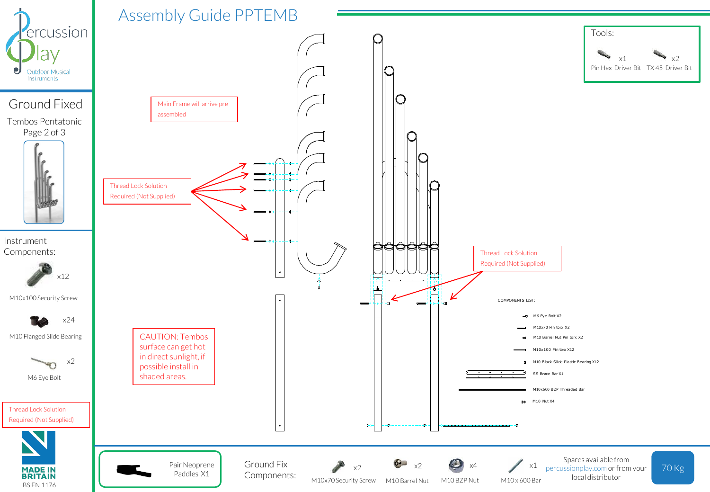